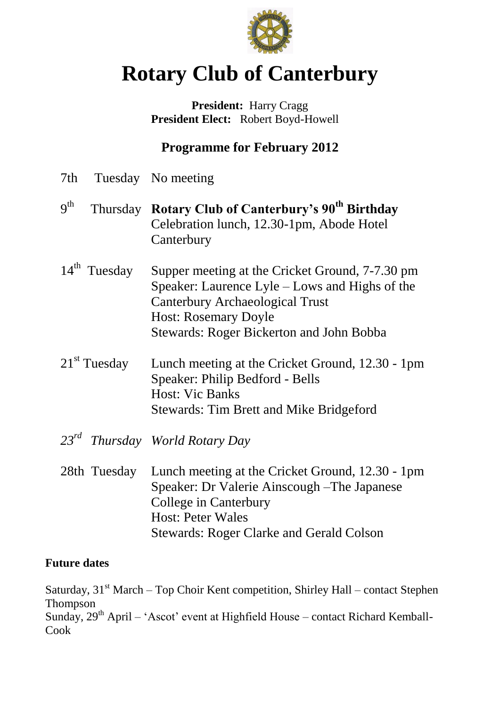

# **Rotary Club of Canterbury**

**President:** Harry Cragg  **President Elect:** Robert Boyd-Howell

# **Programme for February 2012**

| 7th             |                          | Tuesday No meeting                                                                                                                                                                                                            |
|-----------------|--------------------------|-------------------------------------------------------------------------------------------------------------------------------------------------------------------------------------------------------------------------------|
| 9 <sup>th</sup> |                          | Thursday Rotary Club of Canterbury's 90 <sup>th</sup> Birthday<br>Celebration lunch, 12.30-1pm, Abode Hotel<br>Canterbury                                                                                                     |
|                 | $14^{\text{th}}$ Tuesday | Supper meeting at the Cricket Ground, 7-7.30 pm<br>Speaker: Laurence Lyle – Lows and Highs of the<br><b>Canterbury Archaeological Trust</b><br><b>Host: Rosemary Doyle</b><br><b>Stewards: Roger Bickerton and John Bobba</b> |
|                 | $21st$ Tuesday           | Lunch meeting at the Cricket Ground, 12.30 - 1pm<br>Speaker: Philip Bedford - Bells<br><b>Host: Vic Banks</b><br><b>Stewards: Tim Brett and Mike Bridgeford</b>                                                               |
|                 |                          | 23 <sup>rd</sup> Thursday World Rotary Day                                                                                                                                                                                    |
|                 | 28th Tuesday             | Lunch meeting at the Cricket Ground, 12.30 - 1pm<br>Speaker: Dr Valerie Ainscough – The Japanese<br>College in Canterbury<br><b>Host: Peter Wales</b><br><b>Stewards: Roger Clarke and Gerald Colson</b>                      |

#### **Future dates**

Saturday,  $31<sup>st</sup> March – Top Choi Kent competition, Shirley Hall – contact Stephen$ Thompson Sunday,  $29<sup>th</sup>$  April – 'Ascot' event at Highfield House – contact Richard Kemball-Cook